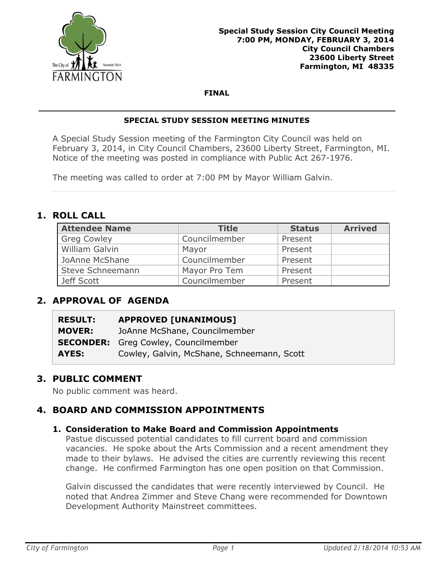

#### **FINAL**

#### **SPECIAL STUDY SESSION MEETING MINUTES**

A Special Study Session meeting of the Farmington City Council was held on February 3, 2014, in City Council Chambers, 23600 Liberty Street, Farmington, MI. Notice of the meeting was posted in compliance with Public Act 267-1976.

The meeting was called to order at 7:00 PM by Mayor William Galvin.

## **1. ROLL CALL**

| <b>Attendee Name</b> | <b>Title</b>  | <b>Status</b> | <b>Arrived</b> |
|----------------------|---------------|---------------|----------------|
| <b>Greg Cowley</b>   | Councilmember | Present       |                |
| William Galvin       | Mayor         | Present       |                |
| JoAnne McShane       | Councilmember | Present       |                |
| Steve Schneemann     | Mayor Pro Tem | Present       |                |
| Jeff Scott           | Councilmember | Present       |                |

# **2. APPROVAL OF AGENDA**

| <b>RESULT:</b> | <b>APPROVED [UNANIMOUS]</b>                 |
|----------------|---------------------------------------------|
| <b>MOVER:</b>  | JoAnne McShane, Councilmember               |
|                | <b>SECONDER:</b> Greg Cowley, Councilmember |
| AYES:          | Cowley, Galvin, McShane, Schneemann, Scott  |

## **3. PUBLIC COMMENT**

No public comment was heard.

## **4. BOARD AND COMMISSION APPOINTMENTS**

#### **1. Consideration to Make Board and Commission Appointments**

Pastue discussed potential candidates to fill current board and commission vacancies. He spoke about the Arts Commission and a recent amendment they made to their bylaws. He advised the cities are currently reviewing this recent change. He confirmed Farmington has one open position on that Commission.

Galvin discussed the candidates that were recently interviewed by Council. He noted that Andrea Zimmer and Steve Chang were recommended for Downtown Development Authority Mainstreet committees.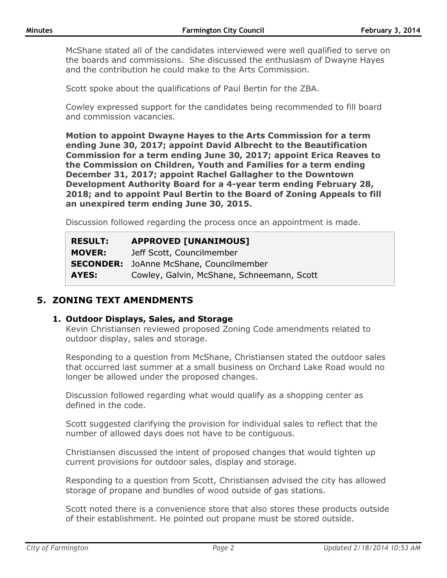McShane stated all of the candidates interviewed were well qualified to serve on the boards and commissions. She discussed the enthusiasm of Dwayne Hayes and the contribution he could make to the Arts Commission.

Scott spoke about the qualifications of Paul Bertin for the ZBA.

Cowley expressed support for the candidates being recommended to fill board and commission vacancies.

**Motion to appoint Dwayne Hayes to the Arts Commission for a term ending June 30, 2017; appoint David Albrecht to the Beautification Commission for a term ending June 30, 2017; appoint Erica Reaves to the Commission on Children, Youth and Families for a term ending December 31, 2017; appoint Rachel Gallagher to the Downtown Development Authority Board for a 4-year term ending February 28, 2018; and to appoint Paul Bertin to the Board of Zoning Appeals to fill an unexpired term ending June 30, 2015.**

Discussion followed regarding the process once an appointment is made.

| <b>RESULT:</b> | <b>APPROVED [UNANIMOUS]</b>                    |
|----------------|------------------------------------------------|
| <b>MOVER:</b>  | Jeff Scott, Councilmember                      |
|                | <b>SECONDER:</b> JoAnne McShane, Councilmember |
| AYES:          | Cowley, Galvin, McShane, Schneemann, Scott     |

## **5. ZONING TEXT AMENDMENTS**

#### **1. Outdoor Displays, Sales, and Storage**

Kevin Christiansen reviewed proposed Zoning Code amendments related to outdoor display, sales and storage.

Responding to a question from McShane, Christiansen stated the outdoor sales that occurred last summer at a small business on Orchard Lake Road would no longer be allowed under the proposed changes.

Discussion followed regarding what would qualify as a shopping center as defined in the code.

Scott suggested clarifying the provision for individual sales to reflect that the number of allowed days does not have to be contiguous.

Christiansen discussed the intent of proposed changes that would tighten up current provisions for outdoor sales, display and storage.

Responding to a question from Scott, Christiansen advised the city has allowed storage of propane and bundles of wood outside of gas stations.

Scott noted there is a convenience store that also stores these products outside of their establishment. He pointed out propane must be stored outside.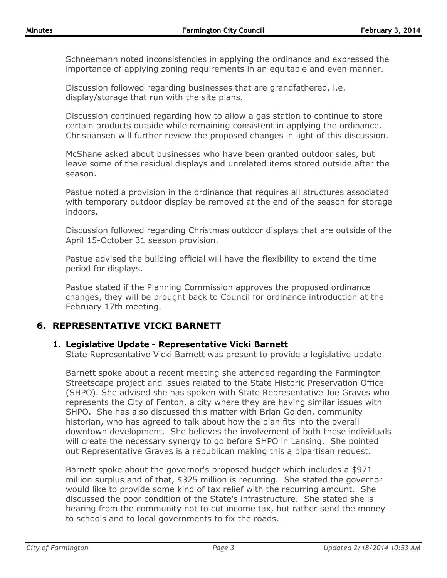Schneemann noted inconsistencies in applying the ordinance and expressed the importance of applying zoning requirements in an equitable and even manner.

Discussion followed regarding businesses that are grandfathered, i.e. display/storage that run with the site plans.

Discussion continued regarding how to allow a gas station to continue to store certain products outside while remaining consistent in applying the ordinance. Christiansen will further review the proposed changes in light of this discussion.

McShane asked about businesses who have been granted outdoor sales, but leave some of the residual displays and unrelated items stored outside after the season.

Pastue noted a provision in the ordinance that requires all structures associated with temporary outdoor display be removed at the end of the season for storage indoors.

Discussion followed regarding Christmas outdoor displays that are outside of the April 15-October 31 season provision.

Pastue advised the building official will have the flexibility to extend the time period for displays.

Pastue stated if the Planning Commission approves the proposed ordinance changes, they will be brought back to Council for ordinance introduction at the February 17th meeting.

## **6. REPRESENTATIVE VICKI BARNETT**

#### **1. Legislative Update - Representative Vicki Barnett**

State Representative Vicki Barnett was present to provide a legislative update.

Barnett spoke about a recent meeting she attended regarding the Farmington Streetscape project and issues related to the State Historic Preservation Office (SHPO). She advised she has spoken with State Representative Joe Graves who represents the City of Fenton, a city where they are having similar issues with SHPO. She has also discussed this matter with Brian Golden, community historian, who has agreed to talk about how the plan fits into the overall downtown development. She believes the involvement of both these individuals will create the necessary synergy to go before SHPO in Lansing. She pointed out Representative Graves is a republican making this a bipartisan request.

Barnett spoke about the governor's proposed budget which includes a \$971 million surplus and of that, \$325 million is recurring. She stated the governor would like to provide some kind of tax relief with the recurring amount. She discussed the poor condition of the State's infrastructure. She stated she is hearing from the community not to cut income tax, but rather send the money to schools and to local governments to fix the roads.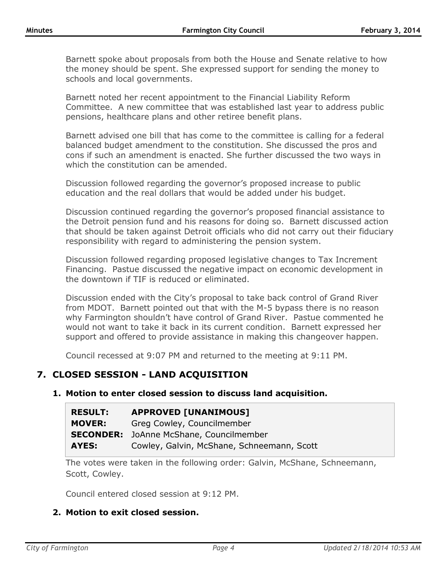Barnett spoke about proposals from both the House and Senate relative to how the money should be spent. She expressed support for sending the money to schools and local governments.

Barnett noted her recent appointment to the Financial Liability Reform Committee. A new committee that was established last year to address public pensions, healthcare plans and other retiree benefit plans.

Barnett advised one bill that has come to the committee is calling for a federal balanced budget amendment to the constitution. She discussed the pros and cons if such an amendment is enacted. She further discussed the two ways in which the constitution can be amended.

Discussion followed regarding the governor's proposed increase to public education and the real dollars that would be added under his budget.

Discussion continued regarding the governor's proposed financial assistance to the Detroit pension fund and his reasons for doing so. Barnett discussed action that should be taken against Detroit officials who did not carry out their fiduciary responsibility with regard to administering the pension system.

Discussion followed regarding proposed legislative changes to Tax Increment Financing. Pastue discussed the negative impact on economic development in the downtown if TIF is reduced or eliminated.

Discussion ended with the City's proposal to take back control of Grand River from MDOT. Barnett pointed out that with the M-5 bypass there is no reason why Farmington shouldn't have control of Grand River. Pastue commented he would not want to take it back in its current condition. Barnett expressed her support and offered to provide assistance in making this changeover happen.

Council recessed at 9:07 PM and returned to the meeting at 9:11 PM.

## **7. CLOSED SESSION - LAND ACQUISITION**

#### **1. Motion to enter closed session to discuss land acquisition.**

| <b>RESULT:</b> | <b>APPROVED [UNANIMOUS]</b>                    |
|----------------|------------------------------------------------|
| <b>MOVER:</b>  | Greg Cowley, Councilmember                     |
|                | <b>SECONDER:</b> JoAnne McShane, Councilmember |
| AYES:          | Cowley, Galvin, McShane, Schneemann, Scott     |

The votes were taken in the following order: Galvin, McShane, Schneemann, Scott, Cowley.

Council entered closed session at 9:12 PM.

#### **2. Motion to exit closed session.**